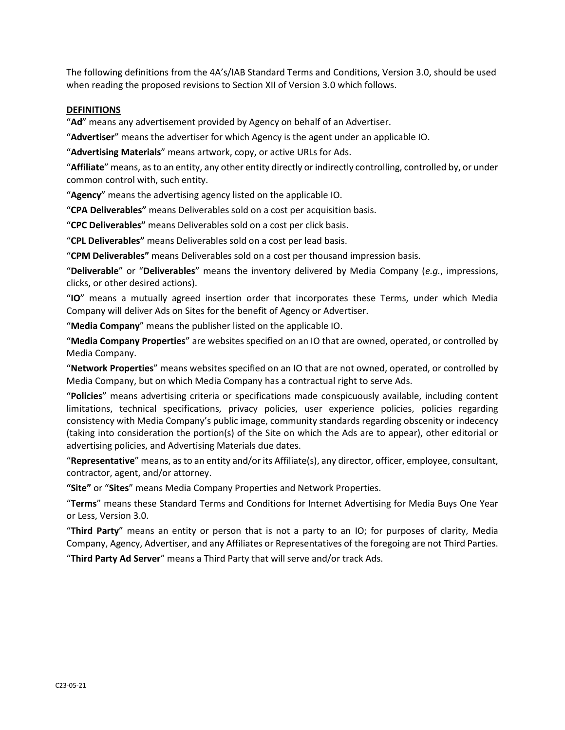The following definitions from the 4A's/IAB Standard Terms and Conditions, Version 3.0, should be used when reading the proposed revisions to Section XII of Version 3.0 which follows.

## **DEFINITIONS**

"**Ad**" means any advertisement provided by Agency on behalf of an Advertiser.

"**Advertiser**" means the advertiser for which Agency is the agent under an applicable IO.

"**Advertising Materials**" means artwork, copy, or active URLs for Ads.

"**Affiliate**" means, as to an entity, any other entity directly or indirectly controlling, controlled by, or under common control with, such entity.

"**Agency**" means the advertising agency listed on the applicable IO.

"**CPA Deliverables"** means Deliverables sold on a cost per acquisition basis.

"**CPC Deliverables"** means Deliverables sold on a cost per click basis.

"**CPL Deliverables"** means Deliverables sold on a cost per lead basis.

"**CPM Deliverables"** means Deliverables sold on a cost per thousand impression basis.

"**Deliverable**" or "**Deliverables**" means the inventory delivered by Media Company (*e.g.*, impressions, clicks, or other desired actions).

"**IO**" means a mutually agreed insertion order that incorporates these Terms, under which Media Company will deliver Ads on Sites for the benefit of Agency or Advertiser.

"**Media Company**" means the publisher listed on the applicable IO.

"**Media Company Properties**" are websites specified on an IO that are owned, operated, or controlled by Media Company.

"**Network Properties**" means websites specified on an IO that are not owned, operated, or controlled by Media Company, but on which Media Company has a contractual right to serve Ads.

"**Policies**" means advertising criteria or specifications made conspicuously available, including content limitations, technical specifications, privacy policies, user experience policies, policies regarding consistency with Media Company's public image, community standards regarding obscenity or indecency (taking into consideration the portion(s) of the Site on which the Ads are to appear), other editorial or advertising policies, and Advertising Materials due dates.

"**Representative**" means, as to an entity and/or its Affiliate(s), any director, officer, employee, consultant, contractor, agent, and/or attorney.

**"Site"** or "**Sites**" means Media Company Properties and Network Properties.

"**Terms**" means these Standard Terms and Conditions for Internet Advertising for Media Buys One Year or Less, Version 3.0.

"**Third Party**" means an entity or person that is not a party to an IO; for purposes of clarity, Media Company, Agency, Advertiser, and any Affiliates or Representatives of the foregoing are not Third Parties. "**Third Party Ad Server**" means a Third Party that will serve and/or track Ads.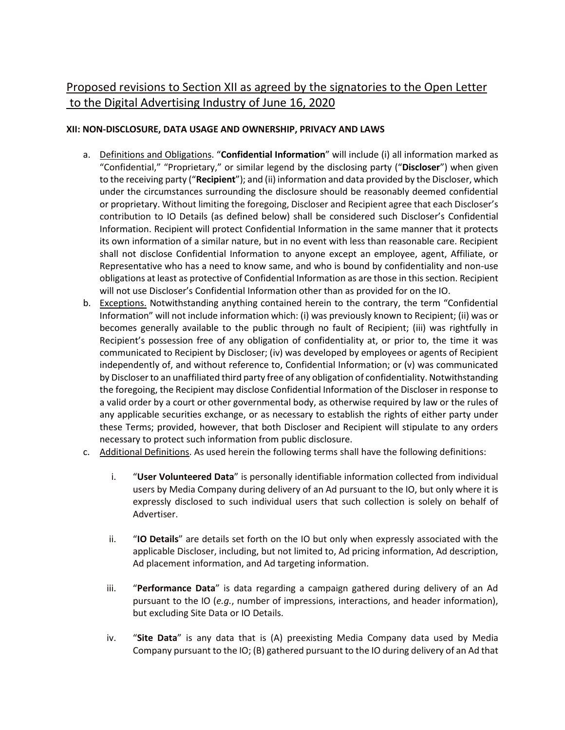## Proposed revisions to Section XII as agreed by the signatories to the Open Letter to the Digital Advertising Industry of June 16, 2020

## **XII: NON-DISCLOSURE, DATA USAGE AND OWNERSHIP, PRIVACY AND LAWS**

- a. Definitions and Obligations. "**Confidential Information**" will include (i) all information marked as "Confidential," "Proprietary," or similar legend by the disclosing party ("**Discloser**") when given to the receiving party ("**Recipient**"); and (ii) information and data provided by the Discloser, which under the circumstances surrounding the disclosure should be reasonably deemed confidential or proprietary. Without limiting the foregoing, Discloser and Recipient agree that each Discloser's contribution to IO Details (as defined below) shall be considered such Discloser's Confidential Information. Recipient will protect Confidential Information in the same manner that it protects its own information of a similar nature, but in no event with less than reasonable care. Recipient shall not disclose Confidential Information to anyone except an employee, agent, Affiliate, or Representative who has a need to know same, and who is bound by confidentiality and non-use obligations at least as protective of Confidential Information as are those in this section. Recipient will not use Discloser's Confidential Information other than as provided for on the IO.
- b. Exceptions. Notwithstanding anything contained herein to the contrary, the term "Confidential Information" will not include information which: (i) was previously known to Recipient; (ii) was or becomes generally available to the public through no fault of Recipient; (iii) was rightfully in Recipient's possession free of any obligation of confidentiality at, or prior to, the time it was communicated to Recipient by Discloser; (iv) was developed by employees or agents of Recipient independently of, and without reference to, Confidential Information; or (v) was communicated by Discloser to an unaffiliated third party free of any obligation of confidentiality. Notwithstanding the foregoing, the Recipient may disclose Confidential Information of the Discloser in response to a valid order by a court or other governmental body, as otherwise required by law or the rules of any applicable securities exchange, or as necessary to establish the rights of either party under these Terms; provided, however, that both Discloser and Recipient will stipulate to any orders necessary to protect such information from public disclosure.
- c. Additional Definitions. As used herein the following terms shall have the following definitions:
	- i. "**User Volunteered Data**" is personally identifiable information collected from individual users by Media Company during delivery of an Ad pursuant to the IO, but only where it is expressly disclosed to such individual users that such collection is solely on behalf of Advertiser.
	- ii. "**IO Details**" are details set forth on the IO but only when expressly associated with the applicable Discloser, including, but not limited to, Ad pricing information, Ad description, Ad placement information, and Ad targeting information.
	- iii. "**Performance Data**" is data regarding a campaign gathered during delivery of an Ad pursuant to the IO (*e.g.*, number of impressions, interactions, and header information), but excluding Site Data or IO Details.
	- iv. "**Site Data**" is any data that is (A) preexisting Media Company data used by Media Company pursuant to the IO; (B) gathered pursuant to the IO during delivery of an Ad that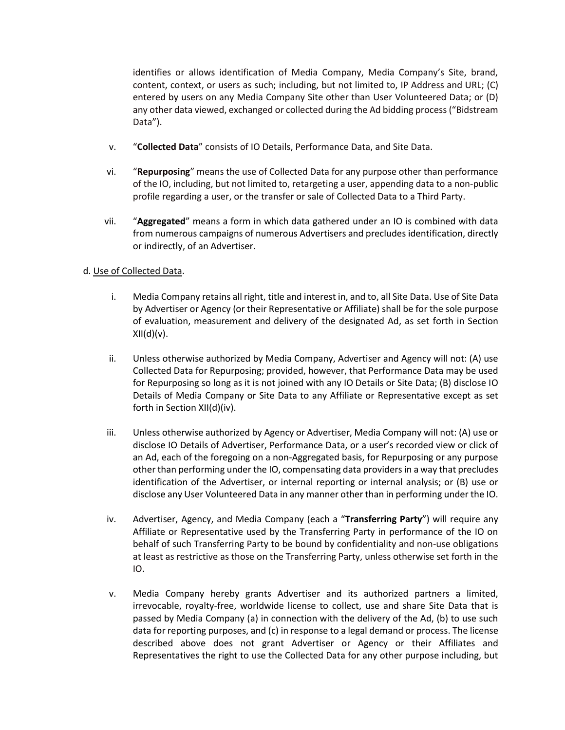identifies or allows identification of Media Company, Media Company's Site, brand, content, context, or users as such; including, but not limited to, IP Address and URL; (C) entered by users on any Media Company Site other than User Volunteered Data; or (D) any other data viewed, exchanged or collected during the Ad bidding process ("Bidstream Data").

- v. "**Collected Data**" consists of IO Details, Performance Data, and Site Data.
- vi. "**Repurposing**" means the use of Collected Data for any purpose other than performance of the IO, including, but not limited to, retargeting a user, appending data to a non-public profile regarding a user, or the transfer or sale of Collected Data to a Third Party.
- vii. "**Aggregated**" means a form in which data gathered under an IO is combined with data from numerous campaigns of numerous Advertisers and precludes identification, directly or indirectly, of an Advertiser.

## d. Use of Collected Data.

- i. Media Company retains all right, title and interest in, and to, all Site Data. Use of Site Data by Advertiser or Agency (or their Representative or Affiliate) shall be for the sole purpose of evaluation, measurement and delivery of the designated Ad, as set forth in Section  $XII(d)(v)$ .
- ii. Unless otherwise authorized by Media Company, Advertiser and Agency will not: (A) use Collected Data for Repurposing; provided, however, that Performance Data may be used for Repurposing so long as it is not joined with any IO Details or Site Data; (B) disclose IO Details of Media Company or Site Data to any Affiliate or Representative except as set forth in Section XII(d)(iv).
- iii. Unless otherwise authorized by Agency or Advertiser, Media Company will not: (A) use or disclose IO Details of Advertiser, Performance Data, or a user's recorded view or click of an Ad, each of the foregoing on a non-Aggregated basis, for Repurposing or any purpose other than performing under the IO, compensating data providers in a way that precludes identification of the Advertiser, or internal reporting or internal analysis; or (B) use or disclose any User Volunteered Data in any manner other than in performing under the IO.
- iv. Advertiser, Agency, and Media Company (each a "**Transferring Party**") will require any Affiliate or Representative used by the Transferring Party in performance of the IO on behalf of such Transferring Party to be bound by confidentiality and non-use obligations at least as restrictive as those on the Transferring Party, unless otherwise set forth in the IO.
- v. Media Company hereby grants Advertiser and its authorized partners a limited, irrevocable, royalty-free, worldwide license to collect, use and share Site Data that is passed by Media Company (a) in connection with the delivery of the Ad, (b) to use such data for reporting purposes, and (c) in response to a legal demand or process. The license described above does not grant Advertiser or Agency or their Affiliates and Representatives the right to use the Collected Data for any other purpose including, but